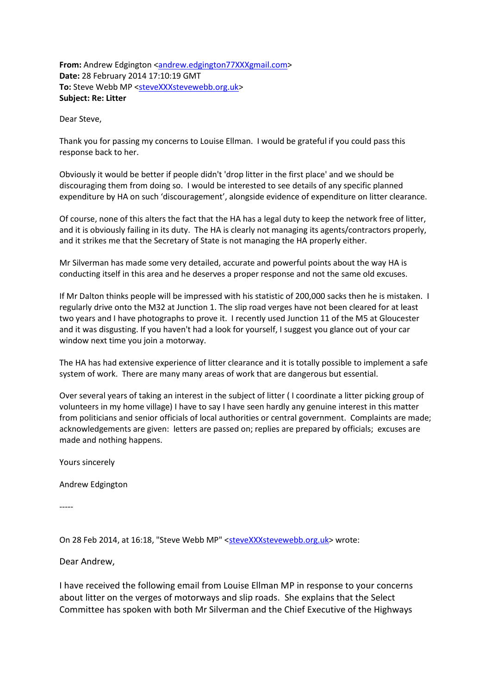**From:** Andrew Edgington [<andrew.edgington77XXXgmail.com>](mailto:andrew.edgington77@gmail.com) **Date:** 28 February 2014 17:10:19 GMT To: Steve Webb MP [<steveXXXstevewebb.org.uk>](mailto:steve@stevewebb.org.uk) **Subject: Re: Litter**

Dear Steve,

Thank you for passing my concerns to Louise Ellman. I would be grateful if you could pass this response back to her.

Obviously it would be better if people didn't 'drop litter in the first place' and we should be discouraging them from doing so. I would be interested to see details of any specific planned expenditure by HA on such 'discouragement', alongside evidence of expenditure on litter clearance.

Of course, none of this alters the fact that the HA has a legal duty to keep the network free of litter, and it is obviously failing in its duty. The HA is clearly not managing its agents/contractors properly, and it strikes me that the Secretary of State is not managing the HA properly either.

Mr Silverman has made some very detailed, accurate and powerful points about the way HA is conducting itself in this area and he deserves a proper response and not the same old excuses.

If Mr Dalton thinks people will be impressed with his statistic of 200,000 sacks then he is mistaken. I regularly drive onto the M32 at Junction 1. The slip road verges have not been cleared for at least two years and I have photographs to prove it. I recently used Junction 11 of the M5 at Gloucester and it was disgusting. If you haven't had a look for yourself, I suggest you glance out of your car window next time you join a motorway.

The HA has had extensive experience of litter clearance and it is totally possible to implement a safe system of work. There are many many areas of work that are dangerous but essential.

Over several years of taking an interest in the subject of litter ( I coordinate a litter picking group of volunteers in my home village) I have to say I have seen hardly any genuine interest in this matter from politicians and senior officials of local authorities or central government. Complaints are made; acknowledgements are given: letters are passed on; replies are prepared by officials; excuses are made and nothing happens.

Yours sincerely

Andrew Edgington

-----

On 28 Feb 2014, at 16:18, "Steve Webb MP" [<steveXXXstevewebb.org.uk>](mailto:steve@stevewebb.org.uk) wrote:

Dear Andrew,

I have received the following email from Louise Ellman MP in response to your concerns about litter on the verges of motorways and slip roads. She explains that the Select Committee has spoken with both Mr Silverman and the Chief Executive of the Highways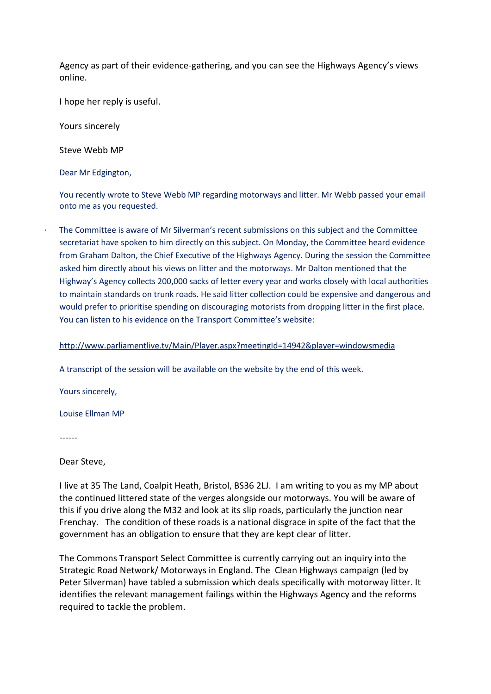Agency as part of their evidence-gathering, and you can see the Highways Agency's views online.

I hope her reply is useful.

Yours sincerely

Steve Webb MP

Dear Mr Edgington,

You recently wrote to Steve Webb MP regarding motorways and litter. Mr Webb passed your email onto me as you requested.

· The Committee is aware of Mr Silverman's recent submissions on this subject and the Committee secretariat have spoken to him directly on this subject. On Monday, the Committee heard evidence from Graham Dalton, the Chief Executive of the Highways Agency. During the session the Committee asked him directly about his views on litter and the motorways. Mr Dalton mentioned that the Highway's Agency collects 200,000 sacks of letter every year and works closely with local authorities to maintain standards on trunk roads. He said litter collection could be expensive and dangerous and would prefer to prioritise spending on discouraging motorists from dropping litter in the first place. You can listen to his evidence on the Transport Committee's website:

<http://www.parliamentlive.tv/Main/Player.aspx?meetingId=14942&player=windowsmedia>

A transcript of the session will be available on the website by the end of this week.

Yours sincerely,

Louise Ellman MP

------

Dear Steve,

I live at 35 The Land, Coalpit Heath, Bristol, BS36 2LJ. I am writing to you as my MP about the continued littered state of the verges alongside our motorways. You will be aware of this if you drive along the M32 and look at its slip roads, particularly the junction near Frenchay. The condition of these roads is a national disgrace in spite of the fact that the government has an obligation to ensure that they are kept clear of litter.

The Commons Transport Select Committee is currently carrying out an inquiry into the Strategic Road Network/ Motorways in England. The Clean Highways campaign (led by Peter Silverman) have tabled a submission which deals specifically with motorway litter. It identifies the relevant management failings within the Highways Agency and the reforms required to tackle the problem.